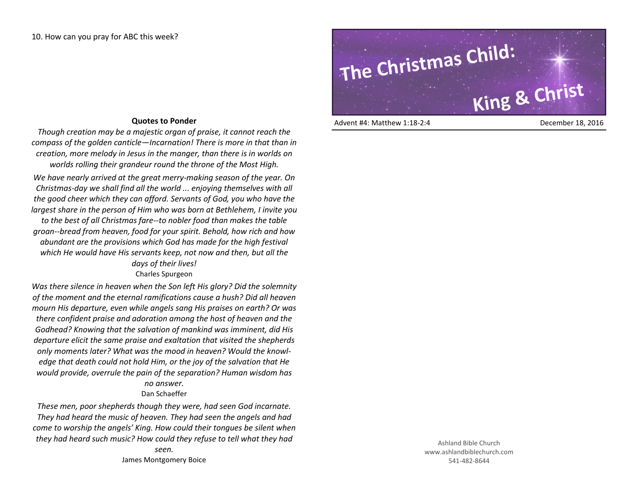## **Quotes to Ponder**

*Though creation may be a majestic organ of praise, it cannot reach the compass of the golden canticle—Incarnation! There is more in that than in creation, more melody in Jesus in the manger, than there is in worlds on worlds rolling their grandeur round the throne of the Most High.*

*We have nearly arrived at the great merry-making season of the year. On Christmas-day we shall find all the world ... enjoying themselves with all the good cheer which they can afford. Servants of God, you who have the largest share in the person of Him who was born at Bethlehem, I invite you* 

*to the best of all Christmas fare--to nobler food than makes the table groan--bread from heaven, food for your spirit. Behold, how rich and how abundant are the provisions which God has made for the high festival which He would have His servants keep, not now and then, but all the days of their lives!* 

Charles Spurgeon

*Was there silence in heaven when the Son left His glory? Did the solemnity of the moment and the eternal ramifications cause a hush? Did all heaven mourn His departure, even while angels sang His praises on earth? Or was there confident praise and adoration among the host of heaven and the Godhead? Knowing that the salvation of mankind was imminent, did His departure elicit the same praise and exaltation that visited the shepherds only moments later? What was the mood in heaven? Would the knowledge that death could not hold Him, or the joy of the salvation that He would provide, overrule the pain of the separation? Human wisdom has no answer.*

## Dan Schaeffer

*These men, poor shepherds though they were, had seen God incarnate. They had heard the music of heaven. They had seen the angels and had come to worship the angels' King. How could their tongues be silent when they had heard such music? How could they refuse to tell what they had* 

## **The Christmas Child: King & Christ**

Advent #4: Matthew 1:18-2:4 December 18, 2016

Ashland Bible Church www.ashlandbiblechurch.com 541-482-8644